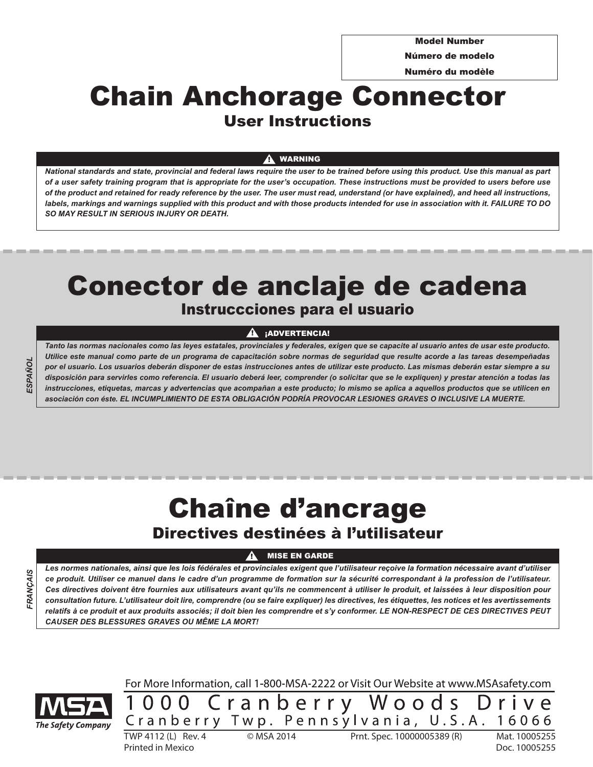Model Number

Número de modelo

Numéro du modèle

# User Instructions Chain Anchorage Connector

#### WARNING !

*National standards and state, provincial and federal laws require the user to be trained before using this product. Use this manual as part of a user safety training program that is appropriate for the user's occupation. These instructions must be provided to users before use of the product and retained for ready reference by the user. The user must read, understand (or have explained), and heed all instructions, labels, markings and warnings supplied with this product and with those products intended for use in association with it. FAILURE TO DO SO MAY RESULT IN SERIOUS INJURY OR DEATH.*

# Instruccciones para el usuario Conector de anclaje de cadena

#### ¡ADVERTENCIA!  $\mathbf{A}$

*Tanto las normas nacionales como las leyes estatales, provinciales y federales, exigen que se capacite al usuario antes de usar este producto. Utilice este manual como parte de un programa de capacitación sobre normas de seguridad que resulte acorde a las tareas desempeñadas por el usuario. Los usuarios deberán disponer de estas instrucciones antes de utilizar este producto. Las mismas deberán estar siempre a su disposición para servirles como referencia. El usuario deberá leer, comprender (o solicitar que se le expliquen) y prestar atención a todas las instrucciones, etiquetas, marcas y advertencias que acompañan a este producto; lo mismo se aplica a aquellos productos que se utilicen en asociación con éste. EL INCUMPLIMIENTO DE ESTA OBLIGACIÓN PODRÍA PROVOCAR LESIONES GRAVES O INCLUSIVE LA MUERTE.*

# Chaîne d'ancrage

# Directives destinées à l'utilisateur

## MISE EN GARDE

!

*Les normes nationales, ainsi que les lois fédérales et provinciales exigent que l'utilisateur reçoive la formation nécessaire avant d'utiliser ce produit. Utiliser ce manuel dans le cadre d'un programme de formation sur la sécurité correspondant à la profession de l'utilisateur. Ces directives doivent être fournies aux utilisateurs avant qu'ils ne commencent à utiliser le produit, et laissées à leur disposition pour consultation future. L'utilisateur doit lire, comprendre (ou se faire expliquer) les directives, les étiquettes, les notices et les avertissements relatifs à ce produit et aux produits associés; il doit bien les comprendre et s'y conformer. LE NON-RESPECT DE CES DIRECTIVES PEUT CAUSER DES BLESSURES GRAVES OU MÊME LA MORT!*

**FRANCAIS** *FRANÇAIS*

*ESPAÑOL*



For More Information, call 1-800-MSA-2222 or Visit Our Website at www.MSAsafety.com

1000 Cranberry Woods Drive  $\frac{C \text{ r a n b e r r y T w p. Pe n n s y l v a n i a, U.S.A. }{T \text{W} \text{P} \text{4112 (L) Rev. 4}}$   $\frac{C \text{W} \text{R} \text{W} \text{R} \text{W}}{T \text{W} \text{P} \text{A} \text{W} \text{R}}$   $\frac{C \text{W} \text{R} \text{W}}{T \text{W} \text{P} \text{A} \text{W} \text{R}}$   $\frac{C \text{W} \text{R} \text{W}}{T \text{W} \text{P} \text{A} \text{W} \text{R}}$ 

Printed in Mexico Doc. 10005255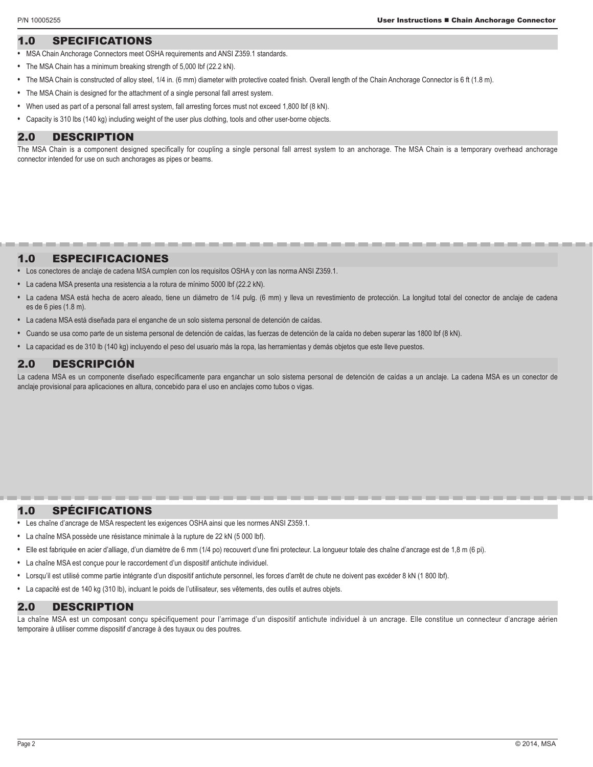# 1.0 SPECIFICATIONS

- **•** MSA Chain Anchorage Connectors meet OSHA requirements and ANSI Z359.1 standards.
- **•** The MSA Chain has a minimum breaking strength of 5,000 lbf (22.2 kN).
- **•** The MSA Chain is constructed of alloy steel, 1/4 in. (6 mm) diameter with protective coated finish. Overall length of the Chain Anchorage Connector is 6 ft (1.8 m).
- **•** The MSA Chain is designed for the attachment of a single personal fall arrest system.
- **•** When used as part of a personal fall arrest system, fall arresting forces must not exceed 1,800 lbf (8 kN).
- **•** Capacity is 310 lbs (140 kg) including weight of the user plus clothing, tools and other user-borne objects.

#### 2.0 DESCRIPTION

The MSA Chain is a component designed specifically for coupling a single personal fall arrest system to an anchorage. The MSA Chain is a temporary overhead anchorage connector intended for use on such anchorages as pipes or beams.

# 1.0 ESPECIFICACIONES

- **•** Los conectores de anclaje de cadena MSA cumplen con los requisitos OSHA y con las norma ANSI Z359.1.
- **•** La cadena MSA presenta una resistencia a la rotura de mínimo 5000 lbf (22.2 kN).
- **•** La cadena MSA está hecha de acero aleado, tiene un diámetro de 1/4 pulg. (6 mm) y lleva un revestimiento de protección. La longitud total del conector de anclaje de cadena es de 6 pies (1.8 m).
- **•** La cadena MSA está diseñada para el enganche de un solo sistema personal de detención de caídas.
- **•** Cuando se usa como parte de un sistema personal de detención de caídas, las fuerzas de detención de la caída no deben superar las 1800 lbf (8 kN).
- **•** La capacidad es de 310 lb (140 kg) incluyendo el peso del usuario más la ropa, las herramientas y demás objetos que este lleve puestos.

# 2.0 DESCRIPCIÓN

La cadena MSA es un componente diseñado específicamente para enganchar un solo sistema personal de detención de caídas a un anclaje. La cadena MSA es un conector de anclaje provisional para aplicaciones en altura, concebido para el uso en anclajes como tubos o vigas.

#### 1.0 SPÉCIFICATIONS

- **•** Les chaîne d'ancrage de MSA respectent les exigences OSHA ainsi que les normes ANSI Z359.1.
- **•** La chaîne MSA possède une résistance minimale à la rupture de 22 kN (5 000 lbf).
- **•** Elle est fabriquée en acier d'alliage, d'un diamètre de 6 mm (1/4 po) recouvert d'une fini protecteur. La longueur totale des chaîne d'ancrage est de 1,8 m (6 pi).
- **•** La chaîne MSA est conçue pour le raccordement d'un dispositif antichute individuel.
- **•** Lorsqu'il est utilisé comme partie intégrante d'un dispositif antichute personnel, les forces d'arrêt de chute ne doivent pas excéder 8 kN (1 800 lbf).
- **•** La capacité est de 140 kg (310 lb), incluant le poids de l'utilisateur, ses vêtements, des outils et autres objets.

# 2.0 DESCRIPTION

La chaîne MSA est un composant conçu spécifiquement pour l'arrimage d'un dispositif antichute individuel à un ancrage. Elle constitue un connecteur d'ancrage aérien temporaire à utiliser comme dispositif d'ancrage à des tuyaux ou des poutres.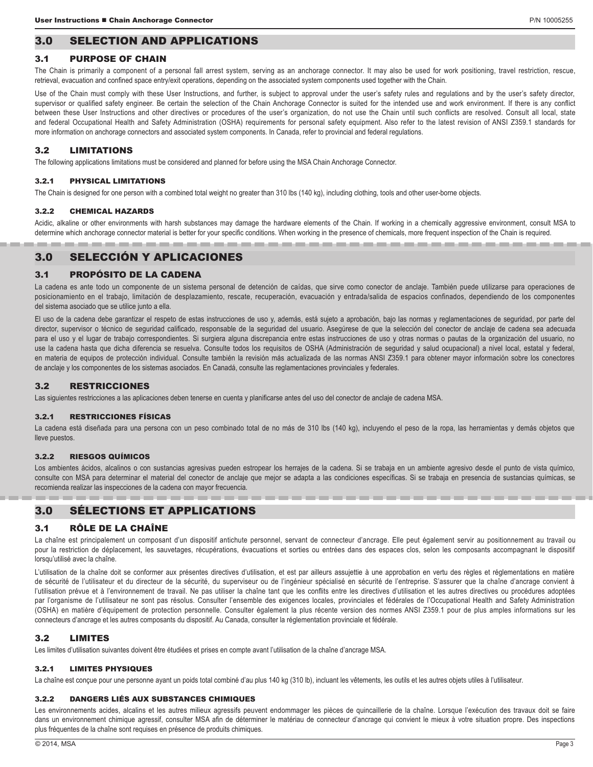# 3.0 SELECTION AND APPLICATIONS

#### 3.1 PURPOSE OF CHAIN

The Chain is primarily a component of a personal fall arrest system, serving as an anchorage connector. It may also be used for work positioning, travel restriction, rescue, retrieval, evacuation and confined space entry/exit operations, depending on the associated system components used together with the Chain.

Use of the Chain must comply with these User Instructions, and further, is subject to approval under the user's safety rules and regulations and by the user's safety director, supervisor or qualified safety engineer. Be certain the selection of the Chain Anchorage Connector is suited for the intended use and work environment. If there is any conflict between these User Instructions and other directives or procedures of the user's organization, do not use the Chain until such conflicts are resolved. Consult all local, state and federal Occupational Health and Safety Administration (OSHA) requirements for personal safety equipment. Also refer to the latest revision of ANSI Z359.1 standards for more information on anchorage connectors and associated system components. In Canada, refer to provincial and federal regulations.

# 3.2 LIMITATIONS

The following applications limitations must be considered and planned for before using the MSA Chain Anchorage Connector.

#### 3.2.1 PHYSICAL LIMITATIONS

The Chain is designed for one person with a combined total weight no greater than 310 lbs (140 kg), including clothing, tools and other user-borne objects.

#### 3.2.2 CHEMICAL HAZARDS

Acidic, alkaline or other environments with harsh substances may damage the hardware elements of the Chain. If working in a chemically aggressive environment, consult MSA to determine which anchorage connector material is better for your specific conditions. When working in the presence of chemicals, more frequent inspection of the Chain is required.

# 3.0 SELECCIÓN Y APLICACIONES

# 3.1 PROPÓSITO DE LA CADENA

La cadena es ante todo un componente de un sistema personal de detención de caídas, que sirve como conector de anclaje. También puede utilizarse para operaciones de posicionamiento en el trabajo, limitación de desplazamiento, rescate, recuperación, evacuación y entrada/salida de espacios confinados, dependiendo de los componentes del sistema asociado que se utilice junto a ella.

El uso de la cadena debe garantizar el respeto de estas instrucciones de uso y, además, está sujeto a aprobación, bajo las normas y reglamentaciones de seguridad, por parte del director, supervisor o técnico de seguridad calificado, responsable de la seguridad del usuario. Asegúrese de que la selección del conector de anclaje de cadena sea adecuada para el uso y el lugar de trabajo correspondientes. Si surgiera alguna discrepancia entre estas instrucciones de uso y otras normas o pautas de la organización del usuario, no use la cadena hasta que dicha diferencia se resuelva. Consulte todos los requisitos de OSHA (Administración de seguridad y salud ocupacional) a nivel local, estatal y federal, en materia de equipos de protección individual. Consulte también la revisión más actualizada de las normas ANSI Z359.1 para obtener mayor información sobre los conectores de anclaje y los componentes de los sistemas asociados. En Canadá, consulte las reglamentaciones provinciales y federales.

#### 3.2 RESTRICCIONES

Las siguientes restricciones a las aplicaciones deben tenerse en cuenta y planificarse antes del uso del conector de anclaje de cadena MSA.

#### 3.2.1 RESTRICCIONES FÍSICAS

La cadena está diseñada para una persona con un peso combinado total de no más de 310 lbs (140 kg), incluyendo el peso de la ropa, las herramientas y demás objetos que lleve puestos.

#### 3.2.2 RIESGOS QUÍMICOS

Los ambientes ácidos, alcalinos o con sustancias agresivas pueden estropear los herrajes de la cadena. Si se trabaja en un ambiente agresivo desde el punto de vista químico, consulte con MSA para determinar el material del conector de anclaje que mejor se adapta a las condiciones específicas. Si se trabaja en presencia de sustancias químicas, se recomienda realizar las inspecciones de la cadena con mayor frecuencia.

# 3.0 SÉLECTIONS ET APPLICATIONS

#### 3.1 RÔLE DE LA CHAÎNE

La chaîne est principalement un composant d'un dispositif antichute personnel, servant de connecteur d'ancrage. Elle peut également servir au positionnement au travail ou pour la restriction de déplacement, les sauvetages, récupérations, évacuations et sorties ou entrées dans des espaces clos, selon les composants accompagnant le dispositif lorsqu'utilisé avec la chaîne.

L'utilisation de la chaîne doit se conformer aux présentes directives d'utilisation, et est par ailleurs assujettie à une approbation en vertu des règles et réglementations en matière de sécurité de l'utilisateur et du directeur de la sécurité, du superviseur ou de l'ingénieur spécialisé en sécurité de l'entreprise. S'assurer que la chaîne d'ancrage convient à l'utilisation prévue et à l'environnement de travail. Ne pas utiliser la chaîne tant que les conflits entre les directives d'utilisation et les autres directives ou procédures adoptées par l'organisme de l'utilisateur ne sont pas résolus. Consulter l'ensemble des exigences locales, provinciales et fédérales de l'Occupational Health and Safety Administration (OSHA) en matière d'équipement de protection personnelle. Consulter également la plus récente version des normes ANSI Z359.1 pour de plus amples informations sur les connecteurs d'ancrage et les autres composants du dispositif. Au Canada, consulter la réglementation provinciale et fédérale.

#### 3.2 LIMITES

Les limites d'utilisation suivantes doivent être étudiées et prises en compte avant l'utilisation de la chaîne d'ancrage MSA.

#### 3.2.1 LIMITES PHYSIQUES

La chaîne est conçue pour une personne ayant un poids total combiné d'au plus 140 kg (310 lb), incluant les vêtements, les outils et les autres objets utiles à l'utilisateur.

#### 3.2.2 DANGERS LIÉS AUX SUBSTANCES CHIMIQUES

Les environnements acides, alcalins et les autres milieux agressifs peuvent endommager les pièces de quincaillerie de la chaîne. Lorsque l'exécution des travaux doit se faire dans un environnement chimique agressif, consulter MSA afin de déterminer le matériau de connecteur d'ancrage qui convient le mieux à votre situation propre. Des inspections plus fréquentes de la chaîne sont requises en présence de produits chimiques.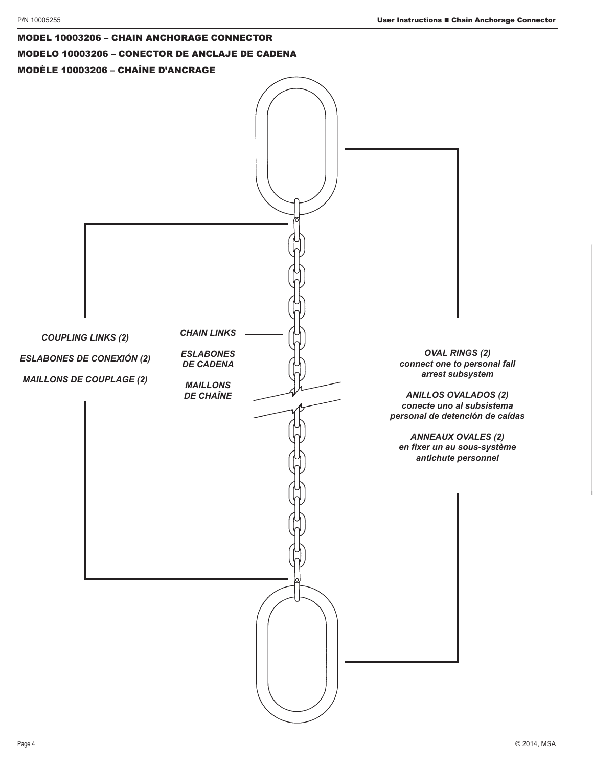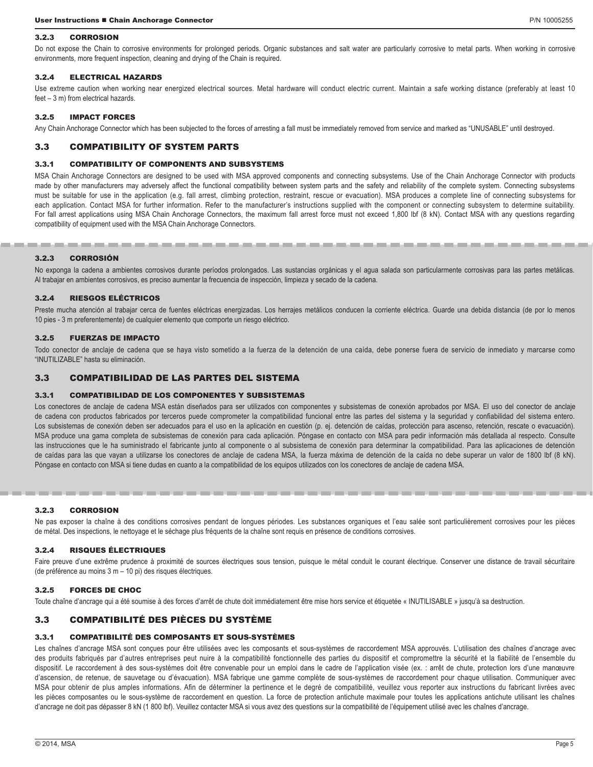#### 3.2.3 CORROSION

Do not expose the Chain to corrosive environments for prolonged periods. Organic substances and salt water are particularly corrosive to metal parts. When working in corrosive environments, more frequent inspection, cleaning and drying of the Chain is required.

#### 3.2.4 ELECTRICAL HAZARDS

Use extreme caution when working near energized electrical sources. Metal hardware will conduct electric current. Maintain a safe working distance (preferably at least 10 feet – 3 m) from electrical hazards.

#### 3.2.5 IMPACT FORCES

Any Chain Anchorage Connector which has been subjected to the forces of arresting a fall must be immediately removed from service and marked as "UNUSABLE" until destroyed.

#### 3.3 COMPATIBILITY OF SYSTEM PARTS

#### 3.3.1 COMPATIBILITY OF COMPONENTS AND SUBSYSTEMS

MSA Chain Anchorage Connectors are designed to be used with MSA approved components and connecting subsystems. Use of the Chain Anchorage Connector with products made by other manufacturers may adversely affect the functional compatibility between system parts and the safety and reliability of the complete system. Connecting subsystems must be suitable for use in the application (e.g. fall arrest, climbing protection, restraint, rescue or evacuation). MSA produces a complete line of connecting subsystems for each application. Contact MSA for further information. Refer to the manufacturer's instructions supplied with the component or connecting subsystem to determine suitability. For fall arrest applications using MSA Chain Anchorage Connectors, the maximum fall arrest force must not exceed 1,800 lbf (8 kN). Contact MSA with any questions regarding compatibility of equipment used with the MSA Chain Anchorage Connectors.

#### 3.2.3 CORROSIÓN

No exponga la cadena a ambientes corrosivos durante períodos prolongados. Las sustancias orgánicas y el agua salada son particularmente corrosivas para las partes metálicas. Al trabajar en ambientes corrosivos, es preciso aumentar la frecuencia de inspección, limpieza y secado de la cadena.

#### 3.2.4 RIESGOS ELÉCTRICOS

Preste mucha atención al trabajar cerca de fuentes eléctricas energizadas. Los herrajes metálicos conducen la corriente eléctrica. Guarde una debida distancia (de por lo menos 10 pies - 3 m preferentemente) de cualquier elemento que comporte un riesgo eléctrico.

#### 3.2.5 FUERZAS DE IMPACTO

Todo conector de anclaje de cadena que se haya visto sometido a la fuerza de la detención de una caída, debe ponerse fuera de servicio de inmediato y marcarse como "INUTILIZABLE" hasta su eliminación.

#### 3.3 COMPATIBILIDAD DE LAS PARTES DEL SISTEMA

#### 3.3.1 COMPATIBILIDAD DE LOS COMPONENTES Y SUBSISTEMAS

Los conectores de anclaje de cadena MSA están diseñados para ser utilizados con componentes y subsistemas de conexión aprobados por MSA. El uso del conector de anclaje de cadena con productos fabricados por terceros puede comprometer la compatibilidad funcional entre las partes del sistema y la seguridad y confiabilidad del sistema entero. Los subsistemas de conexión deben ser adecuados para el uso en la aplicación en cuestión (p. ej. detención de caídas, protección para ascenso, retención, rescate o evacuación). MSA produce una gama completa de subsistemas de conexión para cada aplicación. Póngase en contacto con MSA para pedir información más detallada al respecto. Consulte las instrucciones que le ha suministrado el fabricante junto al componente o al subsistema de conexión para determinar la compatibilidad. Para las aplicaciones de detención de caídas para las que vayan a utilizarse los conectores de anclaje de cadena MSA, la fuerza máxima de detención de la caída no debe superar un valor de 1800 lbf (8 kN). Póngase en contacto con MSA si tiene dudas en cuanto a la compatibilidad de los equipos utilizados con los conectores de anclaje de cadena MSA.

#### 3.2.3 CORROSION

Ne pas exposer la chaîne à des conditions corrosives pendant de longues périodes. Les substances organiques et l'eau salée sont particulièrement corrosives pour les pièces de métal. Des inspections, le nettoyage et le séchage plus fréquents de la chaîne sont requis en présence de conditions corrosives.

#### 3.2.4 RISQUES ÉLECTRIQUES

Faire preuve d'une extrême prudence à proximité de sources électriques sous tension, puisque le métal conduit le courant électrique. Conserver une distance de travail sécuritaire (de préférence au moins 3 m – 10 pi) des risques électriques.

#### 3.2.5 FORCES DE CHOC

Toute chaîne d'ancrage qui a été soumise à des forces d'arrêt de chute doit immédiatement être mise hors service et étiquetée « INUTILISABLE » jusqu'à sa destruction.

# 3.3 COMPATIBILITÉ DES PIÈCES DU SYSTÈME

#### 3.3.1 COMPATIBILITÉ DES COMPOSANTS ET SOUS-SYSTÈMES

Les chaînes d'ancrage MSA sont conçues pour être utilisées avec les composants et sous-systèmes de raccordement MSA approuvés. L'utilisation des chaînes d'ancrage avec des produits fabriqués par d'autres entreprises peut nuire à la compatibilité fonctionnelle des parties du dispositif et compromettre la sécurité et la fiabilité de l'ensemble du dispositif. Le raccordement à des sous-systèmes doit être convenable pour un emploi dans le cadre de l'application visée (ex. : arrêt de chute, protection lors d'une manœuvre d'ascension, de retenue, de sauvetage ou d'évacuation). MSA fabrique une gamme complète de sous-systèmes de raccordement pour chaque utilisation. Communiquer avec MSA pour obtenir de plus amples informations. Afin de déterminer la pertinence et le degré de compatibilité, veuillez vous reporter aux instructions du fabricant livrées avec les pièces composantes ou le sous-système de raccordement en question. La force de protection antichute maximale pour toutes les applications antichute utilisant les chaînes d'ancrage ne doit pas dépasser 8 kN (1 800 lbf). Veuillez contacter MSA si vous avez des questions sur la compatibilité de l'équipement utilisé avec les chaînes d'ancrage.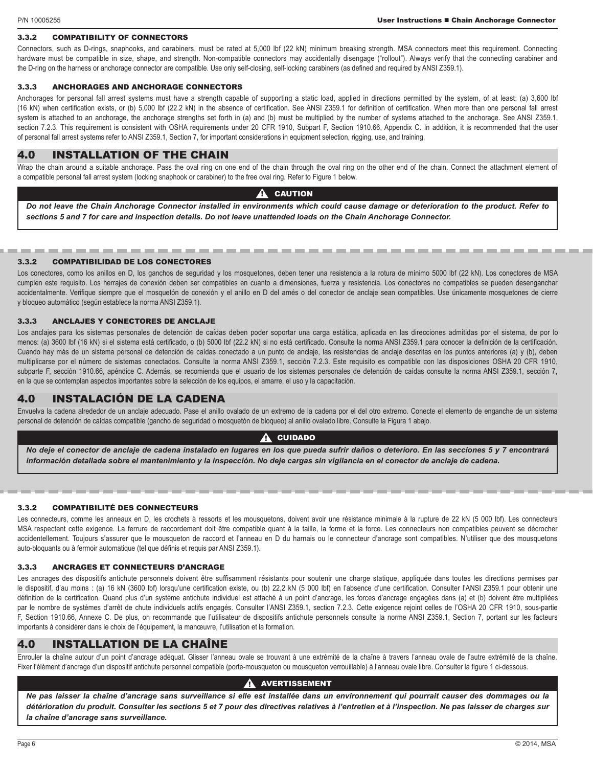#### 3.3.2 COMPATIBILITY OF CONNECTORS

Connectors, such as D-rings, snaphooks, and carabiners, must be rated at 5,000 lbf (22 kN) minimum breaking strength. MSA connectors meet this requirement. Connecting hardware must be compatible in size, shape, and strength. Non-compatible connectors may accidentally disengage ("rollout"). Always verify that the connecting carabiner and the D-ring on the harness or anchorage connector are compatible. Use only self-closing, self-locking carabiners (as defined and required by ANSI Z359.1).

#### 3.3.3 ANCHORAGES AND ANCHORAGE CONNECTORS

Anchorages for personal fall arrest systems must have a strength capable of supporting a static load, applied in directions permitted by the system, of at least: (a) 3,600 lbf (16 kN) when certification exists, or (b) 5,000 lbf (22.2 kN) in the absence of certification. See ANSI Z359.1 for definition of certification. When more than one personal fall arrest system is attached to an anchorage, the anchorage strengths set forth in (a) and (b) must be multiplied by the number of systems attached to the anchorage. See ANSI Z359.1, section 7.2.3. This requirement is consistent with OSHA requirements under 20 CFR 1910, Subpart F, Section 1910.66, Appendix C. In addition, it is recommended that the user of personal fall arrest systems refer to ANSI Z359.1, Section 7, for important considerations in equipment selection, rigging, use, and training.

# 4.0 INSTALLATION OF THE CHAIN

Wrap the chain around a suitable anchorage. Pass the oval ring on one end of the chain through the oval ring on the other end of the chain. Connect the attachment element of a compatible personal fall arrest system (locking snaphook or carabiner) to the free oval ring. Refer to Figure 1 below.

#### **CAUTION**  $\boldsymbol \Lambda$

*Do not leave the Chain Anchorage Connector installed in environments which could cause damage or deterioration to the product. Refer to sections 5 and 7 for care and inspection details. Do not leave unattended loads on the Chain Anchorage Connector.*

#### 3.3.2 COMPATIBILIDAD DE LOS CONECTORES

and the

------

Los conectores, como los anillos en D, los ganchos de seguridad y los mosquetones, deben tener una resistencia a la rotura de mínimo 5000 lbf (22 kN). Los conectores de MSA cumplen este requisito. Los herrajes de conexión deben ser compatibles en cuanto a dimensiones, fuerza y resistencia. Los conectores no compatibles se pueden desenganchar accidentalmente. Verifique siempre que el mosquetón de conexión y el anillo en D del arnés o del conector de anclaje sean compatibles. Use únicamente mosquetones de cierre y bloqueo automático (según establece la norma ANSI Z359.1).

#### 3.3.3 ANCLAJES Y CONECTORES DE ANCLAJE

Los anclajes para los sistemas personales de detención de caídas deben poder soportar una carga estática, aplicada en las direcciones admitidas por el sistema, de por lo menos: (a) 3600 lbf (16 kN) si el sistema está certificado, o (b) 5000 lbf (22.2 kN) si no está certificado. Consulte la norma ANSI Z359.1 para conocer la definición de la certificación. Cuando hay más de un sistema personal de detención de caídas conectado a un punto de anclaje, las resistencias de anclaje descritas en los puntos anteriores (a) y (b), deben multiplicarse por el número de sistemas conectados. Consulte la norma ANSI Z359.1, sección 7.2.3. Este requisito es compatible con las disposiciones OSHA 20 CFR 1910, subparte F, sección 1910.66, apéndice C. Además, se recomienda que el usuario de los sistemas personales de detención de caídas consulte la norma ANSI Z359.1, sección 7, en la que se contemplan aspectos importantes sobre la selección de los equipos, el amarre, el uso y la capacitación.

# 4.0 INSTALACIÓN DE LA CADENA

Envuelva la cadena alrededor de un anclaje adecuado. Pase el anillo ovalado de un extremo de la cadena por el del otro extremo. Conecte el elemento de enganche de un sistema personal de detención de caídas compatible (gancho de seguridad o mosquetón de bloqueo) al anillo ovalado libre. Consulte la Figura 1 abajo.

#### $\mathbf A$  cuidado

*No deje el conector de anclaje de cadena instalado en lugares en los que pueda sufrir daños o deterioro. En las secciones 5 y 7 encontrará información detallada sobre el mantenimiento y la inspección. No deje cargas sin vigilancia en el conector de anclaje de cadena.*

#### 3.3.2 COMPATIBILITÉ DES CONNECTEURS

Les connecteurs, comme les anneaux en D, les crochets à ressorts et les mousquetons, doivent avoir une résistance minimale à la rupture de 22 kN (5 000 lbf). Les connecteurs MSA respectent cette exigence. La ferrure de raccordement doit être compatible quant à la taille, la forme et la force. Les connecteurs non compatibles peuvent se décrocher accidentellement. Toujours s'assurer que le mousqueton de raccord et l'anneau en D du harnais ou le connecteur d'ancrage sont compatibles. N'utiliser que des mousquetons auto-bloquants ou à fermoir automatique (tel que définis et requis par ANSI Z359.1).

#### 3.3.3 ANCRAGES ET CONNECTEURS D'ANCRAGE

Les ancrages des dispositifs antichute personnels doivent être suffisamment résistants pour soutenir une charge statique, appliquée dans toutes les directions permises par le dispositif, d'au moins : (a) 16 kN (3600 lbf) lorsqu'une certification existe, ou (b) 22,2 kN (5 000 lbf) en l'absence d'une certification. Consulter l'ANSI Z359.1 pour obtenir une définition de la certification. Quand plus d'un système antichute individuel est attaché à un point d'ancrage, les forces d'ancrage engagées dans (a) et (b) doivent être multipliées par le nombre de systèmes d'arrêt de chute individuels actifs engagés. Consulter l'ANSI Z359.1, section 7.2.3. Cette exigence rejoint celles de l'OSHA 20 CFR 1910, sous-partie F, Section 1910.66, Annexe C. De plus, on recommande que l'utilisateur de dispositifs antichute personnels consulte la norme ANSI Z359.1, Section 7, portant sur les facteurs importants à considérer dans le choix de l'équipement, la manœuvre, l'utilisation et la formation.

# 4.0 INSTALLATION DE LA CHAÎNE

Enrouler la chaîne autour d'un point d'ancrage adéquat. Glisser l'anneau ovale se trouvant à une extrémité de la chaîne à travers l'anneau ovale de l'autre extrémité de la chaîne. Fixer l'élément d'ancrage d'un dispositif antichute personnel compatible (porte-mousqueton ou mousqueton verrouillable) à l'anneau ovale libre. Consulter la figure 1 ci-dessous.

#### $\mathbf A$  avertissement

*Ne pas laisser la chaîne d'ancrage sans surveillance si elle est installée dans un environnement qui pourrait causer des dommages ou la détérioration du produit. Consulter les sections 5 et 7 pour des directives relatives à l'entretien et à l'inspection. Ne pas laisser de charges sur la chaîne d'ancrage sans surveillance.*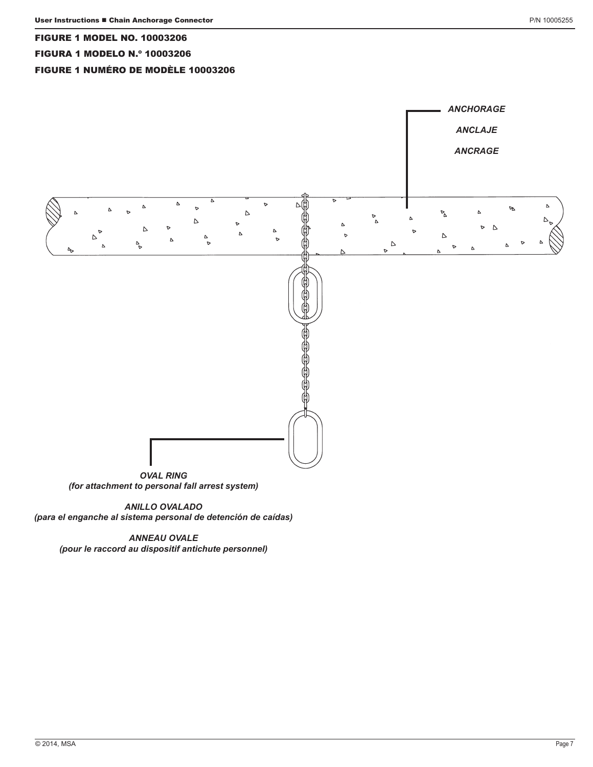#### FIGURE 1 MODEL NO. 10003206

#### FIGURA 1 MODELO N.º 10003206

# FIGURE 1 NUMÉRO DE MODÈLE 10003206



*(for attachment to personal fall arrest system)*

*ANILLO OVALADO (para el enganche al sistema personal de detención de caídas)*

*ANNEAU OVALE (pour le raccord au dispositif antichute personnel)*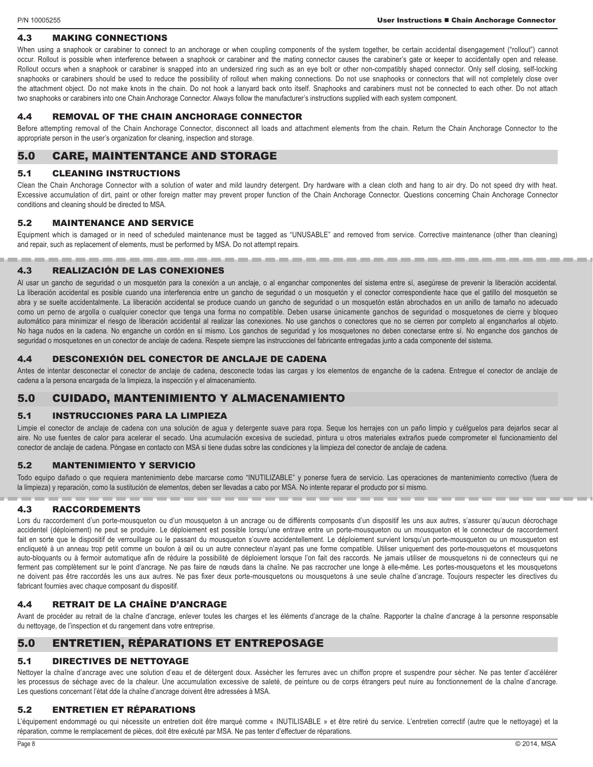#### 4.3 MAKING CONNECTIONS

When using a snaphook or carabiner to connect to an anchorage or when coupling components of the system together, be certain accidental disengagement ("rollout") cannot occur. Rollout is possible when interference between a snaphook or carabiner and the mating connector causes the carabiner's gate or keeper to accidentally open and release. Rollout occurs when a snaphook or carabiner is snapped into an undersized ring such as an eye bolt or other non-compatibly shaped connector. Only self closing, self-locking snaphooks or carabiners should be used to reduce the possibility of rollout when making connections. Do not use snaphooks or connectors that will not completely close over the attachment object. Do not make knots in the chain. Do not hook a lanyard back onto itself. Snaphooks and carabiners must not be connected to each other. Do not attach two snaphooks or carabiners into one Chain Anchorage Connector. Always follow the manufacturer's instructions supplied with each system component.

#### 4.4 REMOVAL OF THE CHAIN ANCHORAGE CONNECTOR

Before attempting removal of the Chain Anchorage Connector, disconnect all loads and attachment elements from the chain. Return the Chain Anchorage Connector to the appropriate person in the user's organization for cleaning, inspection and storage.

# 5.0 CARE, MAINTENTANCE AND STORAGE

#### 5.1 CLEANING INSTRUCTIONS

Clean the Chain Anchorage Connector with a solution of water and mild laundry detergent. Dry hardware with a clean cloth and hang to air dry. Do not speed dry with heat. Excessive accumulation of dirt, paint or other foreign matter may prevent proper function of the Chain Anchorage Connector. Questions concerning Chain Anchorage Connector conditions and cleaning should be directed to MSA.

#### 5.2 MAINTENANCE AND SERVICE

Equipment which is damaged or in need of scheduled maintenance must be tagged as "UNUSABLE" and removed from service. Corrective maintenance (other than cleaning) and repair, such as replacement of elements, must be performed by MSA. Do not attempt repairs.

#### 4.3 REALIZACIÓN DE LAS CONEXIONES

Al usar un gancho de seguridad o un mosquetón para la conexión a un anclaje, o al enganchar componentes del sistema entre sí, asegúrese de prevenir la liberación accidental. La liberación accidental es posible cuando una interferencia entre un gancho de seguridad o un mosquetón y el conector correspondiente hace que el gatillo del mosquetón se abra y se suelte accidentalmente. La liberación accidental se produce cuando un gancho de seguridad o un mosquetón están abrochados en un anillo de tamaño no adecuado como un perno de argolla o cualquier conector que tenga una forma no compatible. Deben usarse únicamente ganchos de seguridad o mosquetones de cierre y bloqueo automático para minimizar el riesgo de liberación accidental al realizar las conexiones. No use ganchos o conectores que no se cierren por completo al engancharlos al objeto. No haga nudos en la cadena. No enganche un cordón en sí mismo. Los ganchos de seguridad y los mosquetones no deben conectarse entre sí. No enganche dos ganchos de seguridad o mosquetones en un conector de anclaje de cadena. Respete siempre las instrucciones del fabricante entregadas junto a cada componente del sistema.

#### 4.4 DESCONEXIÓN DEL CONECTOR DE ANCLAJE DE CADENA

Antes de intentar desconectar el conector de anclaje de cadena, desconecte todas las cargas y los elementos de enganche de la cadena. Entregue el conector de anclaje de cadena a la persona encargada de la limpieza, la inspección y el almacenamiento.

# 5.0 CUIDADO, MANTENIMIENTO Y ALMACENAMIENTO

when the contract and the contract of

#### 5.1 INSTRUCCIONES PARA LA LIMPIEZA

Limpie el conector de anclaje de cadena con una solución de agua y detergente suave para ropa. Seque los herrajes con un paño limpio y cuélguelos para dejarlos secar al aire. No use fuentes de calor para acelerar el secado. Una acumulación excesiva de suciedad, pintura u otros materiales extraños puede comprometer el funcionamiento del conector de anclaje de cadena. Póngase en contacto con MSA si tiene dudas sobre las condiciones y la limpieza del conector de anclaje de cadena.

#### 5.2 MANTENIMIENTO Y SERVICIO

Todo equipo dañado o que requiera mantenimiento debe marcarse como "INUTILIZABLE" y ponerse fuera de servicio. Las operaciones de mantenimiento correctivo (fuera de la limpieza) y reparación, como la sustitución de elementos, deben ser llevadas a cabo por MSA. No intente reparar el producto por sí mismo.

# 4.3 RACCORDEMENTS

Lors du raccordement d'un porte-mousqueton ou d'un mousqueton à un ancrage ou de différents composants d'un dispositif les uns aux autres, s'assurer qu'aucun décrochage accidentel (déploiement) ne peut se produire. Le déploiement est possible lorsqu'une entrave entre un porte-mousqueton ou un mousqueton et le connecteur de raccordement fait en sorte que le dispositif de verrouillage ou le passant du mousqueton s'ouvre accidentellement. Le déploiement survient lorsqu'un porte-mousqueton ou un mousqueton est encliqueté à un anneau trop petit comme un boulon à œil ou un autre connecteur n'ayant pas une forme compatible. Utiliser uniquement des porte-mousquetons et mousquetons auto-bloquants ou à fermoir automatique afin de réduire la possibilité de déploiement lorsque l'on fait des raccords. Ne jamais utiliser de mousquetons ni de connecteurs qui ne ferment pas complètement sur le point d'ancrage. Ne pas faire de nœuds dans la chaîne. Ne pas raccrocher une longe à elle-même. Les portes-mousquetons et les mousquetons ne doivent pas être raccordés les uns aux autres. Ne pas fixer deux porte-mousquetons ou mousquetons à une seule chaîne d'ancrage. Toujours respecter les directives du fabricant fournies avec chaque composant du dispositif.

#### 4.4 RETRAIT DE LA CHAÎNE D'ANCRAGE

Avant de procéder au retrait de la chaîne d'ancrage, enlever toutes les charges et les éléments d'ancrage de la chaîne. Rapporter la chaîne d'ancrage à la personne responsable du nettoyage, de l'inspection et du rangement dans votre entreprise.

# 5.0 ENTRETIEN, RÉPARATIONS ET ENTREPOSAGE

#### 5.1 DIRECTIVES DE NETTOYAGE

Nettoyer la chaîne d'ancrage avec une solution d'eau et de détergent doux. Assécher les ferrures avec un chiffon propre et suspendre pour sécher. Ne pas tenter d'accélérer les processus de séchage avec de la chaleur. Une accumulation excessive de saleté, de peinture ou de corps étrangers peut nuire au fonctionnement de la chaîne d'ancrage. Les questions concernant l'état dde la chaîne d'ancrage doivent être adressées à MSA.

#### 5.2 ENTRETIEN ET RÉPARATIONS

L'équipement endommagé ou qui nécessite un entretien doit être marqué comme « INUTILISABLE » et être retiré du service. L'entretien correctif (autre que le nettoyage) et la réparation, comme le remplacement de pièces, doit être exécuté par MSA. Ne pas tenter d'effectuer de réparations.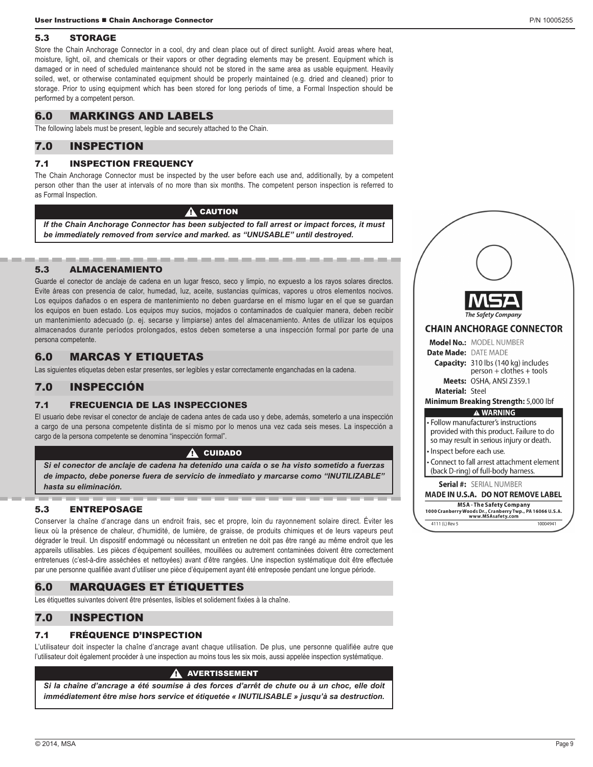# 5.3 STORAGE

Store the Chain Anchorage Connector in a cool, dry and clean place out of direct sunlight. Avoid areas where heat, moisture, light, oil, and chemicals or their vapors or other degrading elements may be present. Equipment which is damaged or in need of scheduled maintenance should not be stored in the same area as usable equipment. Heavily soiled, wet, or otherwise contaminated equipment should be properly maintained (e.g. dried and cleaned) prior to storage. Prior to using equipment which has been stored for long periods of time, a Formal Inspection should be performed by a competent person.

# 6.0 MARKINGS AND LABELS

The following labels must be present, legible and securely attached to the Chain.

# 7.0 INSPECTION

# 7.1 INSPECTION FREQUENCY

The Chain Anchorage Connector must be inspected by the user before each use and, additionally, by a competent person other than the user at intervals of no more than six months. The competent person inspection is referred to as Formal Inspection.

#### $\blacksquare$  caution

*If the Chain Anchorage Connector has been subjected to fall arrest or impact forces, it must be immediately removed from service and marked. as "UNUSABLE" until destroyed.* 

--------

#### 5.3 ALMACENAMIENTO

Guarde el conector de anclaje de cadena en un lugar fresco, seco y limpio, no expuesto a los rayos solares directos. Evite áreas con presencia de calor, humedad, luz, aceite, sustancias químicas, vapores u otros elementos nocivos. Los equipos dañados o en espera de mantenimiento no deben guardarse en el mismo lugar en el que se guardan los equipos en buen estado. Los equipos muy sucios, mojados o contaminados de cualquier manera, deben recibir un mantenimiento adecuado (p. ej. secarse y limpiarse) antes del almacenamiento. Antes de utilizar los equipos almacenados durante períodos prolongados, estos deben someterse a una inspección formal por parte de una persona competente.

# 6.0 MARCAS Y ETIQUETAS

Las siguientes etiquetas deben estar presentes, ser legibles y estar correctamente enganchadas en la cadena.

# 7.0 INSPECCIÓN

# 7.1 FRECUENCIA DE LAS INSPECCIONES

El usuario debe revisar el conector de anclaje de cadena antes de cada uso y debe, además, someterlo a una inspección a cargo de una persona competente distinta de sí mismo por lo menos una vez cada seis meses. La inspección a cargo de la persona competente se denomina "inspección formal".

#### $\blacktriangle$  cuidado

*Si el conector de anclaje de cadena ha detenido una caída o se ha visto sometido a fuerzas de impacto, debe ponerse fuera de servicio de inmediato y marcarse como "INUTILIZABLE" hasta su eliminación.* 

# 5.3 ENTREPOSAGE

Conserver la chaîne d'ancrage dans un endroit frais, sec et propre, loin du rayonnement solaire direct. Éviter les lieux où la présence de chaleur, d'humidité, de lumière, de graisse, de produits chimiques et de leurs vapeurs peut dégrader le treuil. Un dispositif endommagé ou nécessitant un entretien ne doit pas être rangé au même endroit que les appareils utilisables. Les pièces d'équipement souillées, mouillées ou autrement contaminées doivent être correctement entretenues (c'est-à-dire asséchées et nettoyées) avant d'être rangées. Une inspection systématique doit être effectuée par une personne qualifiée avant d'utiliser une pièce d'équipement ayant été entreposée pendant une longue période.

# 6.0 MARQUAGES ET ÉTIQUETTES

Les étiquettes suivantes doivent être présentes, lisibles et solidement fixées à la chaîne.

# 7.0 INSPECTION

# 7.1 FRÉQUENCE D'INSPECTION

L'utilisateur doit inspecter la chaîne d'ancrage avant chaque utilisation. De plus, une personne qualifiée autre que l'utilisateur doit également procéder à une inspection au moins tous les six mois, aussi appelée inspection systématique.

#### **AVERTISSEMENT**

*Si la chaîne d'ancrage a été soumise à des forces d'arrêt de chute ou à un choc, elle doit immédiatement être mise hors service et étiquetée « INUTILISABLE » jusqu'à sa destruction.* 

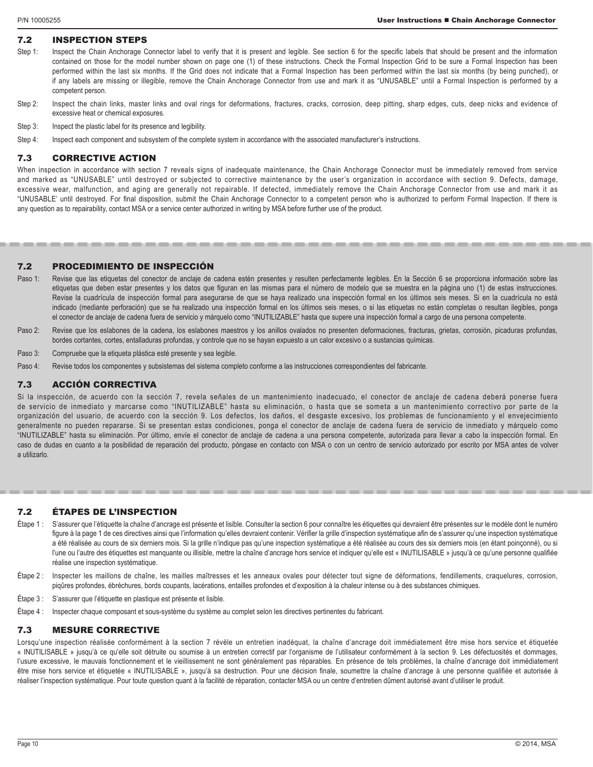# 7.2 INSPECTION STEPS

- Step 1: Inspect the Chain Anchorage Connector label to verify that it is present and legible. See section 6 for the specific labels that should be present and the information contained on those for the model number shown on page one (1) of these instructions. Check the Formal Inspection Grid to be sure a Formal Inspection has been performed within the last six months. If the Grid does not indicate that a Formal Inspection has been performed within the last six months (by being punched), or if any labels are missing or illegible, remove the Chain Anchorage Connector from use and mark it as "UNUSABLE" until a Formal Inspection is performed by a competent person.
- Step 2: Inspect the chain links, master links and oval rings for deformations, fractures, cracks, corrosion, deep pitting, sharp edges, cuts, deep nicks and evidence of excessive heat or chemical exposures.
- Step 3: Inspect the plastic label for its presence and legibility.
- Step 4: Inspect each component and subsystem of the complete system in accordance with the associated manufacturer's instructions.

#### 7.3 CORRECTIVE ACTION

When inspection in accordance with section 7 reveals signs of inadequate maintenance, the Chain Anchorage Connector must be immediately removed from service and marked as "UNUSABLE" until destroyed or subjected to corrective maintenance by the user's organization in accordance with section 9. Defects, damage, excessive wear, malfunction, and aging are generally not repairable. If detected, immediately remove the Chain Anchorage Connector from use and mark it as "UNUSABLE' until destroyed. For final disposition, submit the Chain Anchorage Connector to a competent person who is authorized to perform Formal Inspection. If there is any question as to repairability, contact MSA or a service center authorized in writing by MSA before further use of the product.

#### 7.2 PROCEDIMIENTO DE INSPECCIÓN

- Paso 1: Revise que las etiquetas del conector de anclaje de cadena estén presentes y resulten perfectamente legibles. En la Sección 6 se proporciona información sobre las etiquetas que deben estar presentes y los datos que figuran en las mismas para el número de modelo que se muestra en la página uno (1) de estas instrucciones. Revise la cuadrícula de inspección formal para asegurarse de que se haya realizado una inspección formal en los últimos seis meses. Si en la cuadrícula no está indicado (mediante perforación) que se ha realizado una inspección formal en los últimos seis meses, o si las etiquetas no están completas o resultan ilegibles, ponga el conector de anclaje de cadena fuera de servicio y márquelo como "INUTILIZABLE" hasta que supere una inspección formal a cargo de una persona competente.
- Paso 2: Revise que los eslabones de la cadena, los eslabones maestros y los anillos ovalados no presenten deformaciones, fracturas, grietas, corrosión, picaduras profundas, bordes cortantes, cortes, entalladuras profundas, y controle que no se hayan expuesto a un calor excesivo o a sustancias químicas.
- Paso 3: Compruebe que la etiqueta plástica esté presente y sea legible.
- Paso 4: Revise todos los componentes y subsistemas del sistema completo conforme a las instrucciones correspondientes del fabricante.

# 7.3 ACCIÓN CORRECTIVA

Si la inspección, de acuerdo con la sección 7, revela señales de un mantenimiento inadecuado, el conector de anclaje de cadena deberá ponerse fuera de servicio de inmediato y marcarse como "INUTILIZABLE" hasta su eliminación, o hasta que se someta a un mantenimiento correctivo por parte de la organización del usuario, de acuerdo con la sección 9. Los defectos, los daños, el desgaste excesivo, los problemas de funcionamiento y el envejecimiento generalmente no pueden repararse. Si se presentan estas condiciones, ponga el conector de anclaje de cadena fuera de servicio de inmediato y márquelo como "INUTILIZABLE" hasta su eliminación. Por último, envíe el conector de anclaje de cadena a una persona competente, autorizada para llevar a cabo la inspección formal. En caso de dudas en cuanto a la posibilidad de reparación del producto, póngase en contacto con MSA o con un centro de servicio autorizado por escrito por MSA antes de volver a utilizarlo.

#### 7.2 ÉTAPES DE L'INSPECTION

- Étape 1 : S'assurer que l'étiquette la chaîne d'ancrage est présente et lisible. Consulter la section 6 pour connaître les étiquettes qui devraient être présentes sur le modèle dont le numéro figure à la page 1 de ces directives ainsi que l'information qu'elles devraient contenir. Vérifier la grille d'inspection systématique afin de s'assurer qu'une inspection systématique a été réalisée au cours de six derniers mois. Si la grille n'indique pas qu'une inspection systématique a été réalisée au cours des six derniers mois (en étant poinçonné), ou si l'une ou l'autre des étiquettes est manquante ou illisible, mettre la chaîne d'ancrage hors service et indiquer qu'elle est « INUTILISABLE » jusqu'à ce qu'une personne qualifiée réalise une inspection systématique.
- Étape 2 : Inspecter les maillons de chaîne, les mailles maîtresses et les anneaux ovales pour détecter tout signe de déformations, fendillements, craquelures, corrosion, piqûres profondes, ébréchures, bords coupants, lacérations, entailles profondes et d'exposition à la chaleur intense ou à des substances chimiques.
- Étape 3 : S'assurer que l'étiquette en plastique est présente et lisible.
- Étape 4 : Inspecter chaque composant et sous-système du système au complet selon les directives pertinentes du fabricant.

#### 7.3 MESURE CORRECTIVE

Lorsqu'une inspection réalisée conformément à la section 7 révèle un entretien inadéquat. la chaîne d'ancrage doit immédiatement être mise hors service et étiquetée « INUTILISABLE » jusqu'à ce qu'elle soit détruite ou soumise à un entretien correctif par l'organisme de l'utilisateur conformément à la section 9. Les défectuosités et dommages, l'usure excessive, le mauvais fonctionnement et le vieillissement ne sont généralement pas réparables. En présence de tels problèmes, la chaîne d'ancrage doit immédiatement être mise hors service et étiquetée « INUTILISABLE », jusqu'à sa destruction. Pour une décision finale, soumettre la chaîne d'ancrage à une personne qualifiée et autorisée à réaliser l'inspection systématique. Pour toute question quant à la facilité de réparation, contacter MSA ou un centre d'entretien dûment autorisé avant d'utiliser le produit.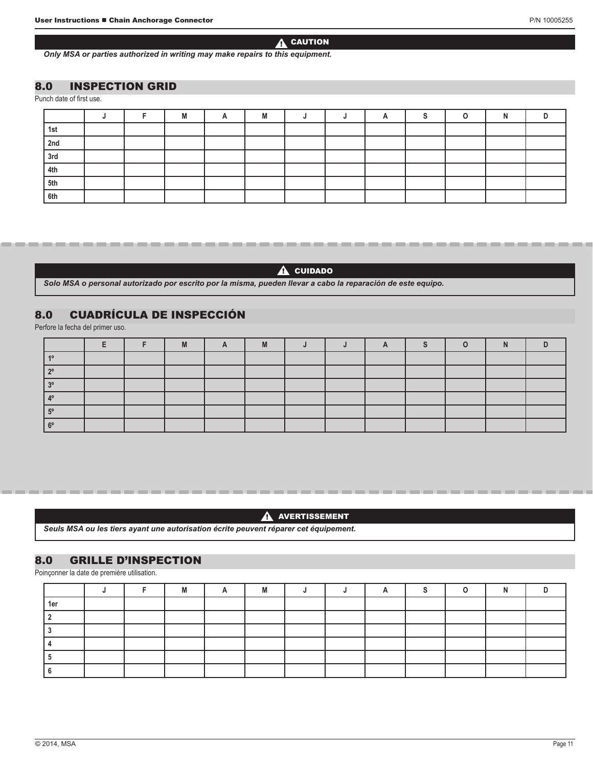# $\blacktriangle$  caution

*Only MSA or parties authorized in writing may make repairs to this equipment.*

# 8.0 INSPECTION GRID

Punch date of first use.

|     |  | IVI |  |  |  |  |  |
|-----|--|-----|--|--|--|--|--|
| 1st |  |     |  |  |  |  |  |
| 2nd |  |     |  |  |  |  |  |
| 3rd |  |     |  |  |  |  |  |
| 4th |  |     |  |  |  |  |  |
| 5th |  |     |  |  |  |  |  |
| 6th |  |     |  |  |  |  |  |

 $\triangle$  cuidado

*Solo MSA o personal autorizado por escrito por la misma, pueden llevar a cabo la reparación de este equipo.*

# 8.0 CUADRÍCULA DE INSPECCIÓN

Perfore la fecha del primer uso.

|  | M | M |  |  |  |  |
|--|---|---|--|--|--|--|
|  |   |   |  |  |  |  |
|  |   |   |  |  |  |  |
|  |   |   |  |  |  |  |
|  |   |   |  |  |  |  |
|  |   |   |  |  |  |  |
|  |   |   |  |  |  |  |

#### **A** AVERTISSEMENT

*Seuls MSA ou les tiers ayant une autorisation écrite peuvent réparer cet équipement.*

# 8.0 GRILLE D'INSPECTION

Poinçonner la date de première utilisation.

|     |  |  | IVI |  |  |  |  |
|-----|--|--|-----|--|--|--|--|
| 1eı |  |  |     |  |  |  |  |
|     |  |  |     |  |  |  |  |
|     |  |  |     |  |  |  |  |
|     |  |  |     |  |  |  |  |
|     |  |  |     |  |  |  |  |
|     |  |  |     |  |  |  |  |